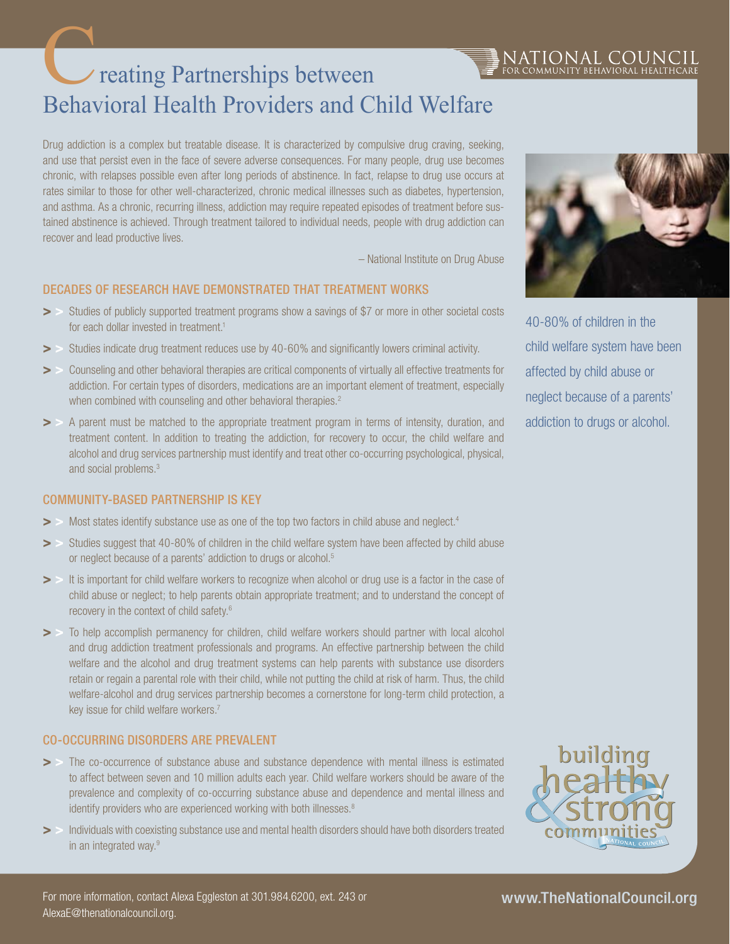# reating Partnerships between Behavioral Health Providers and Child Welfare C

Drug addiction is a complex but treatable disease. It is characterized by compulsive drug craving, seeking, and use that persist even in the face of severe adverse consequences. For many people, drug use becomes chronic, with relapses possible even after long periods of abstinence. In fact, relapse to drug use occurs at rates similar to those for other well-characterized, chronic medical illnesses such as diabetes, hypertension, and asthma. As a chronic, recurring illness, addiction may require repeated episodes of treatment before sustained abstinence is achieved. Through treatment tailored to individual needs, people with drug addiction can recover and lead productive lives.

– National Institute on Drug Abuse

## Decades of Research have Demonstrated that Treatment Works

- Studies of publicly supported treatment programs show a savings of \$7 or more in other societal costs for each dollar invested in treatment.<sup>1</sup>
- > > Studies indicate drug treatment reduces use by 40-60% and significantly lowers criminal activity.
- > > Counseling and other behavioral therapies are critical components of virtually all effective treatments for addiction. For certain types of disorders, medications are an important element of treatment, especially when combined with counseling and other behavioral therapies.<sup>2</sup>
- > > A parent must be matched to the appropriate treatment program in terms of intensity, duration, and treatment content. In addition to treating the addiction, for recovery to occur, the child welfare and alcohol and drug services partnership must identify and treat other co-occurring psychological, physical, and social problems.3

#### Community-based Partnership is Key

- Most states identify substance use as one of the top two factors in child abuse and neglect.<sup>4</sup>
- > > Studies suggest that 40-80% of children in the child welfare system have been affected by child abuse or neglect because of a parents' addiction to drugs or alcohol.<sup>5</sup>
- > It is important for child welfare workers to recognize when alcohol or drug use is a factor in the case of child abuse or neglect; to help parents obtain appropriate treatment; and to understand the concept of recovery in the context of child safety.6
- > To help accomplish permanency for children, child welfare workers should partner with local alcohol and drug addiction treatment professionals and programs. An effective partnership between the child welfare and the alcohol and drug treatment systems can help parents with substance use disorders retain or regain a parental role with their child, while not putting the child at risk of harm. Thus, the child welfare-alcohol and drug services partnership becomes a cornerstone for long-term child protection, a key issue for child welfare workers.7

#### Co-occurring Disorders are Prevalent

- > > The co-occurrence of substance abuse and substance dependence with mental illness is estimated to affect between seven and 10 million adults each year. Child welfare workers should be aware of the prevalence and complexity of co-occurring substance abuse and dependence and mental illness and identify providers who are experienced working with both illnesses.<sup>8</sup>
- > Individuals with coexisting substance use and mental health disorders should have both disorders treated in an integrated way.9



NATIONAL COUNC<br>for community behavioral health:

40-80% of children in the child welfare system have been affected by child abuse or neglect because of a parents' addiction to drugs or alcohol.



# www.TheNationalCouncil.org